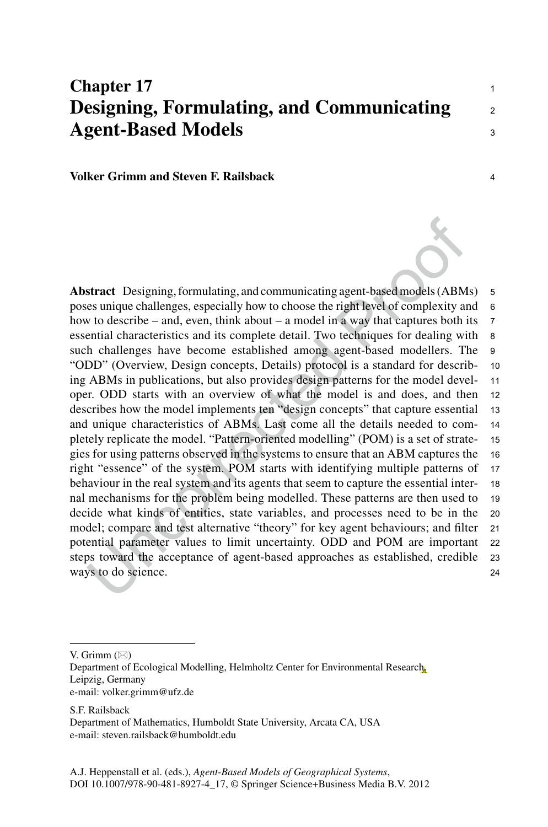1 2 3

4

**Volker Grimm and Steven F. Railsback** 

**stract** Designing, formulating, and communicating agent-based models (ABM<br>es unique challenges, especially how to choose the right level of complexity an<br>ential characteristics and its complete detail. Two techniques for **Abstract** Designing, formulating, and communicating agent-based models (ABMs) poses unique challenges, especially how to choose the right level of complexity and how to describe – and, even, think about – a model in a way that captures both its essential characteristics and its complete detail. Two techniques for dealing with such challenges have become established among agent-based modellers. The "ODD" (Overview, Design concepts, Details) protocol is a standard for describing ABMs in publications, but also provides design patterns for the model developer. ODD starts with an overview of what the model is and does, and then describes how the model implements ten "design concepts" that capture essential and unique characteristics of ABMs. Last come all the details needed to completely replicate the model. "Pattern-oriented modelling" (POM) is a set of strategies for using patterns observed in the systems to ensure that an ABM captures the right "essence" of the system. POM starts with identifying multiple patterns of behaviour in the real system and its agents that seem to capture the essential internal mechanisms for the problem being modelled. These patterns are then used to decide what kinds of entities, state variables, and processes need to be in the model; compare and test alternative "theory" for key agent behaviours; and filter potential parameter values to limit uncertainty. ODD and POM are important steps toward the acceptance of agent-based approaches as established, credible ways to do science. 5 6 7 8 9  $1<sub>0</sub>$ 11 12 13 14 15 16 17 18 19 20 21 22 23 24

V. Grimm  $(\boxtimes)$ 

Department of Ecological Modelling, Helmholtz Center for Environmental Research, Leipzig, Germany e-mail: volker.grimm@ufz.de

S.F. Railsback Department of Mathematics, Humboldt State University, Arcata CA, USA e-mail: steven.railsback@humboldt.edu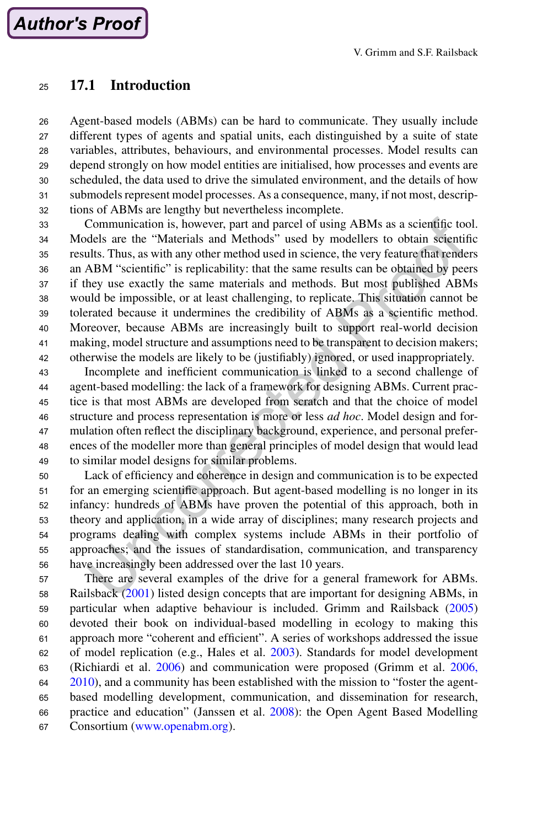#### **17.1 Introduction** 25

Agent-based models (ABMs) can be hard to communicate. They usually include different types of agents and spatial units, each distinguished by a suite of state variables, attributes, behaviours, and environmental processes. Model results can depend strongly on how model entities are initialised, how processes and events are scheduled, the data used to drive the simulated environment, and the details of how submodels represent model processes. As a consequence, many, if not most, descriptions of ABMs are lengthy but nevertheless incomplete. 26 27 28 29 30 31 32

Communication is, however, part and parcel of using ABMs as a scientific totels are the "Materials and Methods" used by modellers to obtain scientific volstils. Thus, as with any other method used in science, the very feat Communication is, however, part and parcel of using ABMs as a scientific tool. Models are the "Materials and Methods" used by modellers to obtain scientific results. Thus, as with any other method used in science, the very feature that renders an ABM "scientific" is replicability: that the same results can be obtained by peers if they use exactly the same materials and methods. But most published ABMs would be impossible, or at least challenging, to replicate. This situation cannot be tolerated because it undermines the credibility of ABMs as a scientific method. Moreover, because ABMs are increasingly built to support real-world decision making, model structure and assumptions need to be transparent to decision makers; otherwise the models are likely to be (justifiably) ignored, or used inappropriately. 33 34 35 36 37 38 39 40 41 42

Incomplete and inefficient communication is linked to a second challenge of agent-based modelling: the lack of a framework for designing ABMs. Current practice is that most ABMs are developed from scratch and that the choice of model structure and process representation is more or less *ad hoc*. Model design and formulation often reflect the disciplinary background, experience, and personal preferences of the modeller more than general principles of model design that would lead to similar model designs for similar problems. 43 44 45 46 47 48 49

Lack of efficiency and coherence in design and communication is to be expected for an emerging scientific approach. But agent-based modelling is no longer in its infancy: hundreds of ABMs have proven the potential of this approach, both in theory and application, in a wide array of disciplines; many research projects and programs dealing with complex systems include ABMs in their portfolio of approaches; and the issues of standardisation, communication, and transparency have increasingly been addressed over the last 10 years. 50 51 52 53 54 55 56

There are several examples of the drive for a general framework for ABMs. Railsback (2001) listed design concepts that are important for designing ABMs, in particular when adaptive behaviour is included. Grimm and Railsback [\(2005](#page-15-0)) devoted their book on individual-based modelling in ecology to making this approach more "coherent and efficient". A series of workshops addressed the issue of model replication (e.g., Hales et al. [2003\)](#page-15-1). Standards for model development (Richiardi et al. [2006](#page-16-1)) and communication were proposed (Grimm et al. [2006,](#page-15-2)  [2010\)](#page-15-3), and a community has been established with the mission to "foster the agentbased modelling development, communication, and dissemination for research, practice and education" (Janssen et al. [2008](#page-15-4)): the Open Agent Based Modelling 57 58 59 60 61 62 63 64 65 66

Consortium (www.openabm.org). 67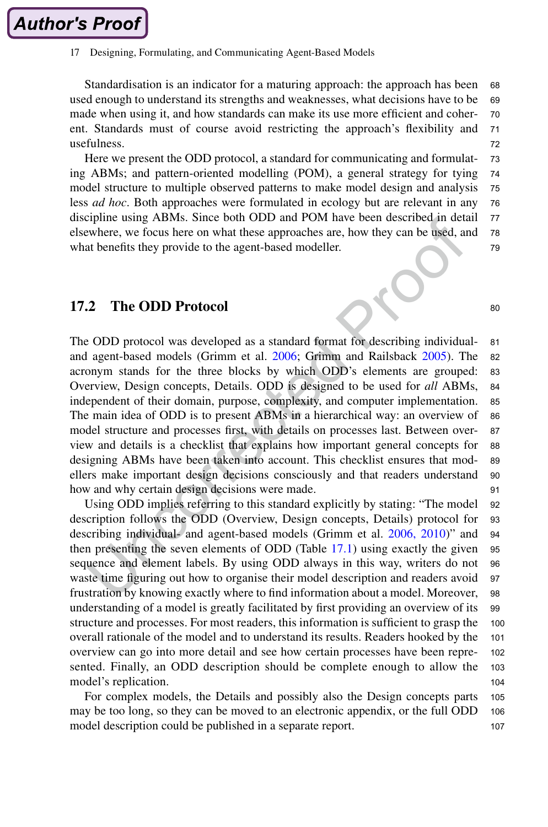

Standardisation is an indicator for a maturing approach: the approach has been used enough to understand its strengths and weaknesses, what decisions have to be made when using it, and how standards can make its use more efficient and coherent. Standards must of course avoid restricting the approach's flexibility and usefulness. 68 69 70 71 72

Here we present the ODD protocol, a standard for communicating and formulating ABMs; and pattern-oriented modelling (POM), a general strategy for tying model structure to multiple observed patterns to make model design and analysis less *ad hoc*. Both approaches were formulated in ecology but are relevant in any discipline using ABMs. Since both ODD and POM have been described in detail elsewhere, we focus here on what these approaches are, how they can be used, and what benefits they provide to the agent-based modeller. 73 74 75 76 77 78 79

### **17.2 The ODD Protocol**

The using Abous. Since both OLD and POM flave been described in details<br>where, we focus here on what these approaches are, how they can be used, and<br>then there is the second of the agent-based modeller.<br>
2. **The ODD Proto** The ODD protocol was developed as a standard format for describing individualand agent-based models (Grimm et al. 2006; Grimm and Railsback 2005). The acronym stands for the three blocks by which ODD's elements are grouped: Overview, Design concepts, Details. ODD is designed to be used for *all* ABMs, independent of their domain, purpose, complexity, and computer implementation. The main idea of ODD is to present ABMs in a hierarchical way: an overview of model structure and processes first, with details on processes last. Between overview and details is a checklist that explains how important general concepts for designing ABMs have been taken into account. This checklist ensures that modellers make important design decisions consciously and that readers understand how and why certain design decisions were made. 81 82 83 84 85 86 87 88 89  $90$ 91

Using ODD implies referring to this standard explicitly by stating: "The model description follows the ODD (Overview, Design concepts, Details) protocol for describing individual- and agent-based models (Grimm et al. 2006, 2010)" and then presenting the seven elements of ODD (Table 17.1) using exactly the given sequence and element labels. By using ODD always in this way, writers do not waste time figuring out how to organise their model description and readers avoid frustration by knowing exactly where to find information about a model. Moreover, understanding of a model is greatly facilitated by first providing an overview of its structure and processes. For most readers, this information is sufficient to grasp the overall rationale of the model and to understand its results. Readers hooked by the overview can go into more detail and see how certain processes have been represented. Finally, an ODD description should be complete enough to allow the model's replication. 92 93 94 95 96 **97** 98 99 100 101 102 103 104

For complex models, the Details and possibly also the Design concepts parts may be too long, so they can be moved to an electronic appendix, or the full ODD model description could be published in a separate report. 105 106 107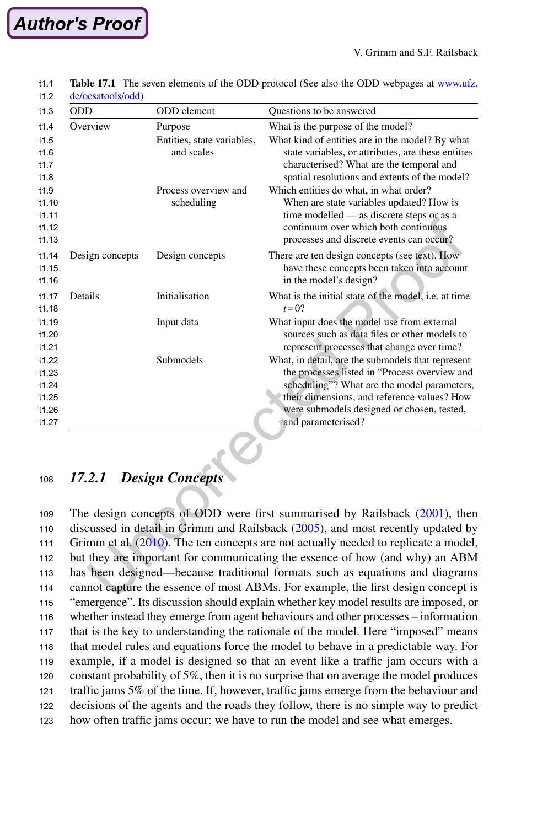| $uc/uc$ saloois/ $ouu$ |                                          |                                                                                                                                                                                                                                                                      |
|------------------------|------------------------------------------|----------------------------------------------------------------------------------------------------------------------------------------------------------------------------------------------------------------------------------------------------------------------|
| ODD                    | ODD element                              | Questions to be answered                                                                                                                                                                                                                                             |
| Overview               | Purpose                                  | What is the purpose of the model?                                                                                                                                                                                                                                    |
|                        | Entities, state variables,<br>and scales | What kind of entities are in the model? By what<br>state variables, or attributes, are these entities<br>characterised? What are the temporal and<br>spatial resolutions and extents of the model?                                                                   |
|                        | Process overview and<br>scheduling       | Which entities do what, in what order?<br>When are state variables updated? How is<br>time modelled — as discrete steps or as a<br>continuum over which both continuous<br>processes and discrete events can occur?                                                  |
| Design concepts        | Design concepts                          | There are ten design concepts (see text). How<br>have these concepts been taken into account<br>in the model's design?                                                                                                                                               |
| Details                | Initialisation                           | What is the initial state of the model, i.e. at time<br>$t = 0?$                                                                                                                                                                                                     |
|                        | Input data                               | What input does the model use from external<br>sources such as data files or other models to<br>represent processes that change over time?                                                                                                                           |
|                        | Submodels                                | What, in detail, are the submodels that represent<br>the processes listed in "Process overview and<br>scheduling"? What are the model parameters,<br>their dimensions, and reference values? How<br>were submodels designed or chosen, tested,<br>and parameterised? |
|                        |                                          |                                                                                                                                                                                                                                                                      |
| 17.2.1                 | <b>Design Concepts</b>                   |                                                                                                                                                                                                                                                                      |
|                        |                                          | The design concepts of ODD were first summarised by Railsback (2001), then                                                                                                                                                                                           |
|                        |                                          | discussed in detail in Grimm and Railsback (2005), and most recently updated by                                                                                                                                                                                      |
|                        |                                          | Grimm et al. $(2010)$ . The ten concepts are not actually needed to replicate a model,                                                                                                                                                                               |
|                        |                                          | but they are important for communicating the essence of how (and why) an ABM                                                                                                                                                                                         |
|                        |                                          | has been designed—because traditional formats such as equations and diagrams                                                                                                                                                                                         |
|                        |                                          | cannot capture the essence of most ABMs. For example, the first design concept is                                                                                                                                                                                    |
|                        |                                          | $\mu$ (not discuss to the discussion of the discussion of the discussion of the discussion of the discussion of the discussion of the discussion of the discussion of the discussion of the discussion of the discussion of th                                       |

<span id="page-3-0"></span>**Table 17.1** The seven elements of the ODD protocol (See also the ODD webpages at www.ufz. de/oesatools/odd) t1.1  $\overline{11}$ 

#### *17.2.1 Design Concepts* 108

**Author's Proof** 

The design concepts of ODD were first summarised by Railsback (2001), then discussed in detail in Grimm and Railsback (2005), and most recently updated by Grimm et al.  $(2010)$ . The ten concepts are not actually needed to replicate a model, but they are important for communicating the essence of how (and why) an ABM has been designed—because traditional formats such as equations and diagrams cannot capture the essence of most ABMs. For example, the first design concept is "emergence". Its discussion should explain whether key model results are imposed, or whether instead they emerge from agent behaviours and other processes – information that is the key to understanding the rationale of the model. Here "imposed" means that model rules and equations force the model to behave in a predictable way. For example, if a model is designed so that an event like a traffic jam occurs with a constant probability of 5%, then it is no surprise that on average the model produces traffic jams 5% of the time. If, however, traffic jams emerge from the behaviour and decisions of the agents and the roads they follow, there is no simple way to predict how often traffic jams occur: we have to run the model and see what emerges. 109 110 111 112 113 114 115 116 117 118 119 120 121 122 123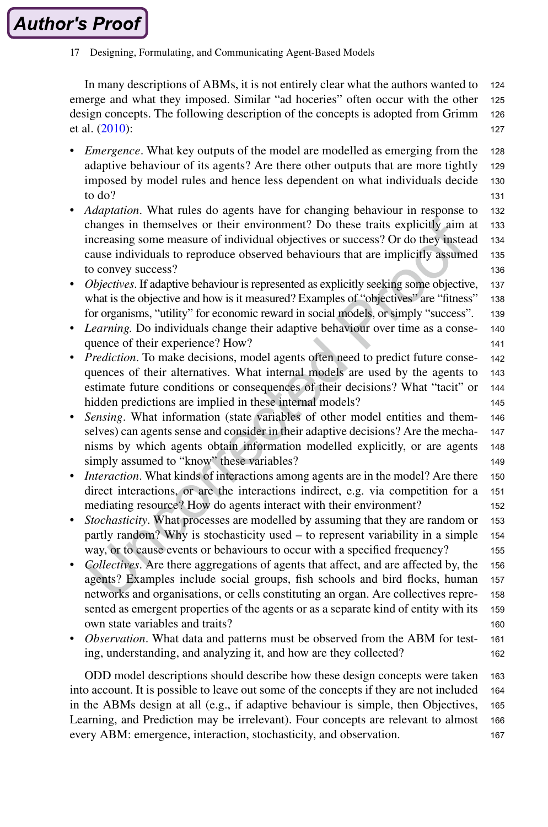

In many descriptions of ABMs, it is not entirely clear what the authors wanted to emerge and what they imposed. Similar "ad hoceries" often occur with the other design concepts. The following description of the concepts is adopted from Grimm et al. [\(2010](#page-15-3)): 124 125 126 127

- • *Emergence*. What key outputs of the model are modelled as emerging from the adaptive behaviour of its agents? Are there other outputs that are more tightly imposed by model rules and hence less dependent on what individuals decide to do? 128 129 130 131
- • *Adaptation*. What rules do agents have for changing behaviour in response to changes in themselves or their environment? Do these traits explicitly aim at increasing some measure of individual objectives or success? Or do they instead cause individuals to reproduce observed behaviours that are implicitly assumed to convey success? 132 133 134 135 136
- • *Objectives*. If adaptive behaviour is represented as explicitly seeking some objective, what is the objective and how is it measured? Examples of "objectives" are "fitness" for organisms, "utility" for economic reward in social models, or simply "success". 137 138 139
- *Learning*. Do individuals change their adaptive behaviour over time as a consequence of their experience? How? 140 141
- *Prediction*. To make decisions, model agents often need to predict future consequences of their alternatives. What internal models are used by the agents to estimate future conditions or consequences of their decisions? What "tacit" or hidden predictions are implied in these internal models? 142 143 144 145
- changes in themselves or their environment? Do these traits explicitly aim<br>noraceasing some measure of individual objectives or success? Or do they instead<br>cause individuals to reproduce observed behaviours that are implic • *Sensing*. What information (state variables of other model entities and themselves) can agents sense and consider in their adaptive decisions? Are the mechanisms by which agents obtain information modelled explicitly, or are agents simply assumed to "know" these variables? 146 147 148 149
- *Interaction*. What kinds of interactions among agents are in the model? Are there direct interactions, or are the interactions indirect, e.g. via competition for a mediating resource? How do agents interact with their environment? 150 151 152
- • *Stochasticity*. What processes are modelled by assuming that they are random or partly random? Why is stochasticity used – to represent variability in a simple way, or to cause events or behaviours to occur with a specified frequency? 153 154 155
- *Collectives*. Are there aggregations of agents that affect, and are affected by, the agents? Examples include social groups, fish schools and bird flocks, human networks and organisations, or cells constituting an organ. Are collectives represented as emergent properties of the agents or as a separate kind of entity with its own state variables and traits? 156 157 158 159 160
- • *Observation*. What data and patterns must be observed from the ABM for testing, understanding, and analyzing it, and how are they collected? 161 162

ODD model descriptions should describe how these design concepts were taken into account. It is possible to leave out some of the concepts if they are not included in the ABMs design at all (e.g., if adaptive behaviour is simple, then Objectives, Learning, and Prediction may be irrelevant). Four concepts are relevant to almost every ABM: emergence, interaction, stochasticity, and observation. 163 164 165 166 167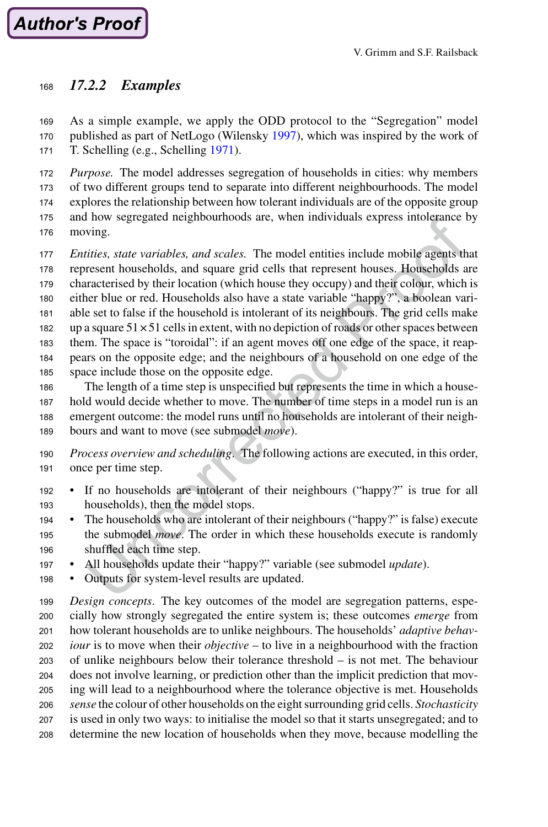# **Author's Proof**

#### *17.2.2 Examples* 168

As a simple example, we apply the ODD protocol to the "Segregation" model published as part of NetLogo (Wilensky [1997\)](#page-16-2), which was inspired by the work of T. Schelling (e.g., Schelling [1971\)](#page-16-3). 169 170 171

*Purpose.* The model addresses segregation of households in cities: why members of two different groups tend to separate into different neighbourhoods. The model explores the relationship between how tolerant individuals are of the opposite group and how segregated neighbourhoods are, when individuals express intolerance by moving. 172 173 174 175 176

now segregated neignbourhoods are, when intrivianals express intolerance in<br>thites, *state variables*, *and scales*. The model entities include mobile agents the<br>resent households, and scales. The model entities include m *Entities, state variables, and scales.* The model entities include mobile agents that represent households, and square grid cells that represent houses. Households are characterised by their location (which house they occupy) and their colour, which is either blue or red. Households also have a state variable "happy?", a boolean variable set to false if the household is intolerant of its neighbours. The grid cells make up a square  $51 \times 51$  cells in extent, with no depiction of roads or other spaces between them. The space is "toroidal": if an agent moves off one edge of the space, it reappears on the opposite edge; and the neighbours of a household on one edge of the space include those on the opposite edge. 177 178 179 180 181 182 183 184 185

The length of a time step is unspecified but represents the time in which a household would decide whether to move. The number of time steps in a model run is an emergent outcome: the model runs until no households are intolerant of their neighbours and want to move (see submodel *move*). 186 187 188 189

*Process overview and scheduling*. The following actions are executed, in this order, once per time step. 190 191

- If no households are intolerant of their neighbours ("happy?" is true for all households), then the model stops. 192 193
- The households who are intolerant of their neighbours ("happy?" is false) execute the submodel *move*. The order in which these households execute is randomly shuffled each time step. 194 195 196
- • All households update their "happy?" variable (see submodel *update*). 197
- • Outputs for system-level results are updated. 198

*Design concepts*. The key outcomes of the model are segregation patterns, especially how strongly segregated the entire system is; these outcomes *emerge* from how tolerant households are to unlike neighbours. The households' *adaptive behaviour* is to move when their *objective* – to live in a neighbourhood with the fraction of unlike neighbours below their tolerance threshold – is not met. The behaviour does not involve learning, or prediction other than the implicit prediction that moving will lead to a neighbourhood where the tolerance objective is met. Households *sense* the colour of other households on the eight surrounding grid cells. *Stochasticity* is used in only two ways: to initialise the model so that it starts unsegregated; and to determine the new location of households when they move, because modelling the 199 200 201 202 203 204 205 206 207 208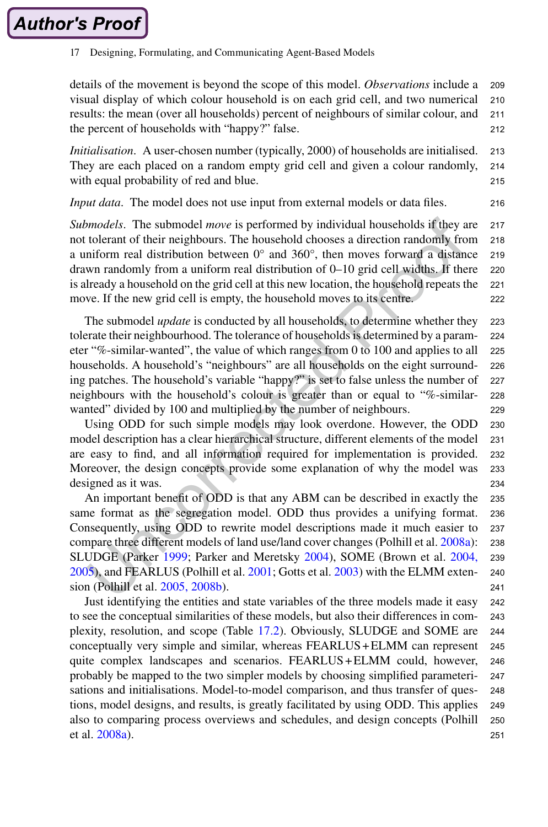

details of the movement is beyond the scope of this model. *Observations* include a visual display of which colour household is on each grid cell, and two numerical results: the mean (over all households) percent of neighbours of similar colour, and the percent of households with "happy?" false. 209 210 211 212

*Initialisation.* A user-chosen number (typically, 2000) of households are initialised. They are each placed on a random empty grid cell and given a colour randomly, with equal probability of red and blue. 213 214 215

216

*Input data*. The model does not use input from external models or data files.

*Submodels*. The submodel *move* is performed by individual households if they are not tolerant of their neighbours. The household chooses a direction randomly from a uniform real distribution between  $0^{\circ}$  and  $360^{\circ}$ , then moves forward a distance drawn randomly from a uniform real distribution of 0–10 grid cell widths. If there is already a household on the grid cell at this new location, the household repeats the move. If the new grid cell is empty, the household moves to its centre. 217 218 219 220 221 222

The submodel *update* is conducted by all households, to determine whether they tolerate their neighbourhood. The tolerance of households is determined by a parameter "%-similar-wanted", the value of which ranges from 0 to 100 and applies to all households. A household's "neighbours" are all households on the eight surrounding patches. The household's variable "happy?" is set to false unless the number of neighbours with the household's colour is greater than or equal to "%-similarwanted" divided by 100 and multiplied by the number of neighbours. 223 224 225 226 227 228 229

Using ODD for such simple models may look overdone. However, the ODD model description has a clear hierarchical structure, different elements of the model are easy to find, and all information required for implementation is provided. Moreover, the design concepts provide some explanation of why the model was designed as it was. 230 231 232 233 234

*models.* The submodel *move* is performed by i[n](#page-15-6)dividual households if they a tolerant of their neighbours. The household chooses a direction randomly from real distribution between 0° and 360°, then moves forward a dista An important benefit of ODD is that any ABM can be described in exactly the same format as the segregation model. ODD thus provides a unifying format. Consequently, using ODD to rewrite model descriptions made it much easier to compare three different models of land use/land cover changes (Polhill et al. 2008a): SLUDGE (Parker 1999; Parker and Meretsky 2004), SOME (Brown et al. [2004,](#page-14-0)  [2005\)](#page-14-1), and FEARLUS (Polhill et al. 2001; Gotts et al. 2003) with the ELMM extension (Polhill et al. 2005, 2008b). 235 236 237 238 239 240 241

Just identifying the entities and state variables of the three models made it easy to see the conceptual similarities of these models, but also their differences in complexity, resolution, and scope (Table [17.2](#page-7-0)). Obviously, SLUDGE and SOME are conceptually very simple and similar, whereas FEARLUS+ELMM can represent quite complex landscapes and scenarios. FEARLUS+ELMM could, however, probably be mapped to the two simpler models by choosing simplified parameterisations and initialisations. Model-to-model comparison, and thus transfer of questions, model designs, and results, is greatly facilitated by using ODD. This applies also to comparing process overviews and schedules, and design concepts (Polhill et al. [2008a](#page-15-5)). 242 243 244 245 246 247 248 249 250 251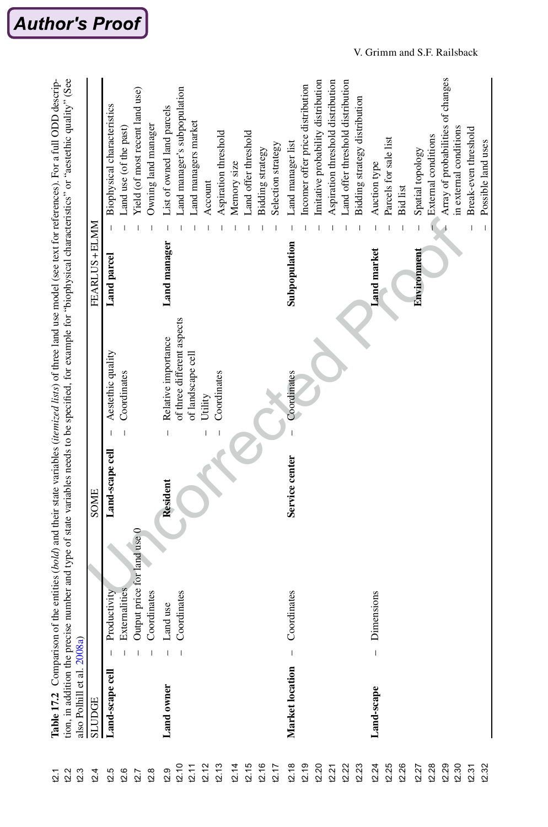<span id="page-7-0"></span>

| 2.3<br>2.2<br>t2.1 | also Polhill et al. 2008a) |                          |                             |                 |                                   |                    | tion, in addition the precise number and type of state variables needs to be specified, for example for "biophysical characteristics" or "aestethic quality" (See<br>Table 17.2 Comparison of the entities (bold) and their state variables (itemized lists) of three land use model (see text for references). For a full ODD descrip- |
|--------------------|----------------------------|--------------------------|-----------------------------|-----------------|-----------------------------------|--------------------|-----------------------------------------------------------------------------------------------------------------------------------------------------------------------------------------------------------------------------------------------------------------------------------------------------------------------------------------|
| t2.4               | <b>SLUDGE</b>              |                          |                             | SOME            |                                   | FEARLUS+ELMM       |                                                                                                                                                                                                                                                                                                                                         |
| 12.5               | Land-scape cell            |                          | Productivity                | Land-scape cell | Aestethic quality<br>$\mathbf{I}$ | Land parcel        | <b>Biophysical characteristics</b>                                                                                                                                                                                                                                                                                                      |
| 2.6                |                            |                          | Externalities               |                 | Coordinates                       |                    | Land use (of the past)                                                                                                                                                                                                                                                                                                                  |
| 12.7               |                            | $\overline{1}$           | Output price for land use 0 |                 |                                   |                    | Yield (of most recent land use)                                                                                                                                                                                                                                                                                                         |
| 2.8                |                            | $\overline{\phantom{a}}$ | Coordinates                 |                 |                                   |                    | Owning land manager                                                                                                                                                                                                                                                                                                                     |
| 12.9               | Land owner                 | $\overline{1}$           | Land use                    | Resident        | Relative importance               | Land manager       | List of owned land parcels                                                                                                                                                                                                                                                                                                              |
| t2.10              |                            | $\overline{\phantom{a}}$ | Coordinates                 |                 | of three different aspects        |                    | Land manager's subpopulation                                                                                                                                                                                                                                                                                                            |
| 12.11              |                            |                          |                             |                 | of landscape cell                 |                    | Land managers market                                                                                                                                                                                                                                                                                                                    |
| t2.12              |                            |                          |                             |                 | Utility                           |                    | Account                                                                                                                                                                                                                                                                                                                                 |
| 12.13              |                            |                          |                             |                 | Coordinates                       |                    | Aspiration threshold                                                                                                                                                                                                                                                                                                                    |
| 12.14              |                            |                          |                             |                 |                                   |                    | Memory size                                                                                                                                                                                                                                                                                                                             |
| 2.15               |                            |                          |                             |                 |                                   |                    | Land offer threshold                                                                                                                                                                                                                                                                                                                    |
| 12.16              |                            |                          |                             |                 |                                   |                    | Bidding strategy                                                                                                                                                                                                                                                                                                                        |
| 12.17              |                            |                          |                             |                 |                                   |                    | Selection strategy                                                                                                                                                                                                                                                                                                                      |
| 12.18              | Market location            | $\overline{\phantom{a}}$ | Coordinates                 | Service center  | Coordinates                       | Subpopulation      | Land manager list                                                                                                                                                                                                                                                                                                                       |
| 12.19              |                            |                          |                             |                 |                                   |                    | Incomer offer price distribution                                                                                                                                                                                                                                                                                                        |
| t2.20              |                            |                          |                             |                 |                                   |                    | Imitative probability distribution                                                                                                                                                                                                                                                                                                      |
| 12.21              |                            |                          |                             |                 |                                   |                    | Aspiration threshold distribution                                                                                                                                                                                                                                                                                                       |
| 12.22              |                            |                          |                             |                 |                                   |                    | Land offer threshold distribution                                                                                                                                                                                                                                                                                                       |
| 12.23              |                            |                          |                             |                 |                                   |                    | Bidding strategy distribution                                                                                                                                                                                                                                                                                                           |
| 12.24              | Land-scape                 | $\overline{\phantom{a}}$ | mensions<br>Ä               |                 |                                   | <b>Land</b> market | Auction type                                                                                                                                                                                                                                                                                                                            |
| 12.25              |                            |                          |                             |                 |                                   |                    | Parcels for sale list                                                                                                                                                                                                                                                                                                                   |
| 12.26              |                            |                          |                             |                 |                                   |                    | <b>Bid</b> list                                                                                                                                                                                                                                                                                                                         |
| 12.27              |                            |                          |                             |                 |                                   | Environment        | Spatial topology                                                                                                                                                                                                                                                                                                                        |
| t2.28              |                            |                          |                             |                 |                                   |                    | External conditions                                                                                                                                                                                                                                                                                                                     |
| 12.29              |                            |                          |                             |                 |                                   |                    | Array of probabilities of changes                                                                                                                                                                                                                                                                                                       |
| 12.30              |                            |                          |                             |                 |                                   |                    | in external conditions                                                                                                                                                                                                                                                                                                                  |
| 12.31              |                            |                          |                             |                 |                                   |                    | Break-even threshold                                                                                                                                                                                                                                                                                                                    |
| 12.32              |                            |                          |                             |                 |                                   |                    | Possible land uses                                                                                                                                                                                                                                                                                                                      |
|                    |                            |                          |                             |                 |                                   |                    |                                                                                                                                                                                                                                                                                                                                         |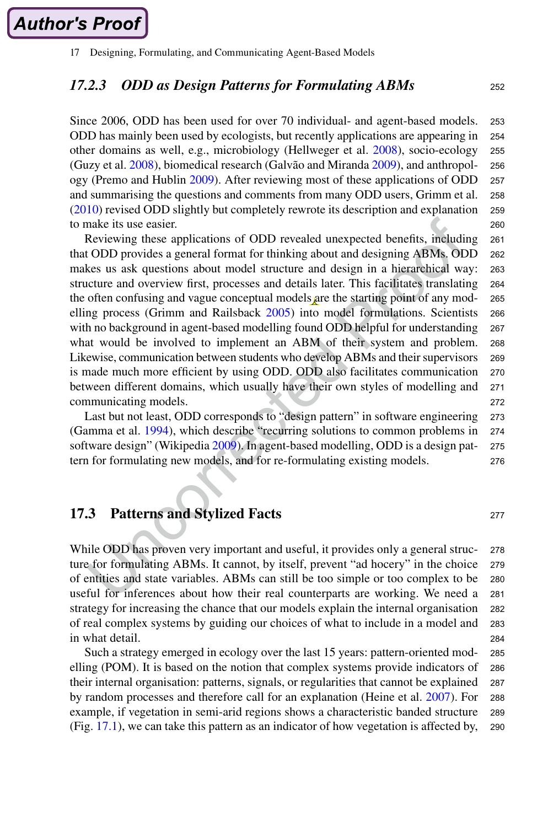

#### *17.2.3 ODD as Design Patterns for Formulating ABMs*

Since 2006, ODD has been used for over 70 individual- and agent-based models. ODD has mainly been used by ecologists, but recently applications are appearing in other domains as well, e.g., microbiology (Hellweger et al. [2008](#page-15-12)), socio-ecology (Guzy et al. [2008](#page-15-13)), biomedical research (Galvão and Miranda [2009](#page-14-2)), and anthropology (Premo and Hublin [2009](#page-15-14)). After reviewing most of these applications of ODD and summarising the questions and comments from many ODD users, Grimm et al. [\(2010](#page-15-3)) revised ODD slightly but completely rewrote its description and explanation to make its use easier. 253 254 255 256 257 258 259 260

make its use easier.<br>
Reviewing these applications of ODD [re](#page-16-4)vealed unexpected benefits, includin<br>
CODD provides a general format for thinking about and designing ABMs. OD<br>
CODD provides a general format for thinking about Reviewing these applications of ODD revealed unexpected benefits, including that ODD provides a general format for thinking about and designing ABMs. ODD makes us ask questions about model structure and design in a hierarchical way: structure and overview first, processes and details later. This facilitates translating the often confusing and vague conceptual models are the starting point of any modelling process (Grimm and Railsback 2005) into model formulations. Scientists with no background in agent-based modelling found ODD helpful for understanding what would be involved to implement an ABM of their system and problem. Likewise, communication between students who develop ABMs and their supervisors is made much more efficient by using ODD. ODD also facilitates communication between different domains, which usually have their own styles of modelling and communicating models. 261 262 263 264 265 266 267 268 269 270 271 272

Last but not least, ODD corresponds to "design pattern" in software engineering (Gamma et al. 1994), which describe "recurring solutions to common problems in software design" (Wikipedia 2009). In agent-based modelling, ODD is a design pattern for formulating new models, and for re-formulating existing models. 273 274 275 276

### **17.3 Patterns and Stylized Facts**

While ODD has proven very important and useful, it provides only a general structure for formulating ABMs. It cannot, by itself, prevent "ad hocery" in the choice of entities and state variables. ABMs can still be too simple or too complex to be useful for inferences about how their real counterparts are working. We need a strategy for increasing the chance that our models explain the internal organisation of real complex systems by guiding our choices of what to include in a model and in what detail. 278 279 280 281 282 283 284

Such a strategy emerged in ecology over the last 15 years: pattern-oriented modelling (POM). It is based on the notion that complex systems provide indicators of their internal organisation: patterns, signals, or regularities that cannot be explained by random processes and therefore call for an explanation (Heine et al. [2007](#page-15-15)). For example, if vegetation in semi-arid regions shows a characteristic banded structure (Fig. [17.1\)](#page-9-0), we can take this pattern as an indicator of how vegetation is affected by, 285 286 287 288 289 290

252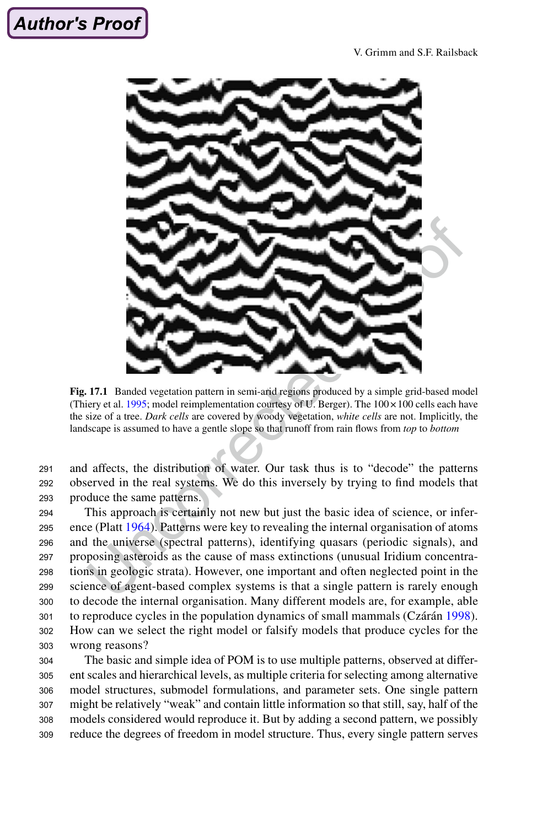<span id="page-9-0"></span>

Fig. 17.1 Banded vegetation pattern in semi-arid regions produced by a simple grid-based model (Thiery et al. 1995; model reimplementation courtesy of U. Berger). The  $100 \times 100$  cells each have the size of a tree. *Dark cells* are covered by woody vegetation, *white cells* are not. Implicitly, the landscape is assumed to have a gentle slope so that runoff from rain flows from *top* to *bottom*

and affects, the distribution of water. Our task thus is to "decode" the patterns observed in the real systems. We do this inversely by trying to find models that produce the same patterns. 291 292 293

This approach is certainly not new but just the basic idea of science, or inference (Platt 1964). Patterns were key to revealing the internal organisation of atoms and the universe (spectral patterns), identifying quasars (periodic signals), and proposing asteroids as the cause of mass extinctions (unusual Iridium concentrations in geologic strata). However, one important and often neglected point in the science of agent-based complex systems is that a single pattern is rarely enough to decode the internal organisation. Many different models are, for example, able to reproduce cycles in the population dynamics of small mammals (Czárán [1998\)](#page-14-4). How can we select the right model or falsify models that produce cycles for the wrong reasons? 294 295 296 297 298 299 300 301 302 303

The basic and simple idea of POM is to use multiple patterns, observed at different scales and hierarchical levels, as multiple criteria for selecting among alternative model structures, submodel formulations, and parameter sets. One single pattern might be relatively "weak" and contain little information so that still, say, half of the models considered would reproduce it. But by adding a second pattern, we possibly reduce the degrees of freedom in model structure. Thus, every single pattern serves 304 305 306 307 308 309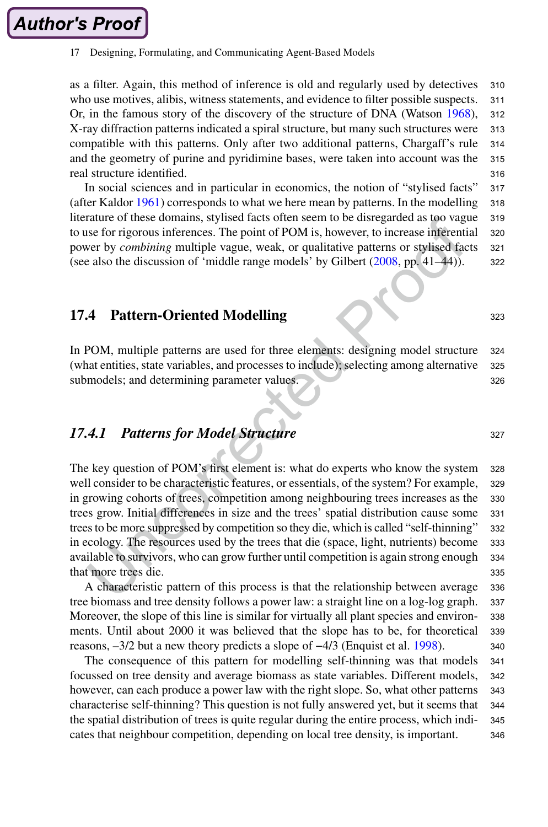

as a filter. Again, this method of inference is old and regularly used by detectives who use motives, alibis, witness statements, and evidence to filter possible suspects. Or, in the famous story of the discovery of the structure of DNA (Watson [1968\)](#page-16-6), X-ray diffraction patterns indicated a spiral structure, but many such structures were compatible with this patterns. Only after two additional patterns, Chargaff's rule and the geometry of purine and pyridimine bases, were taken into account was the real structure identified. 310 311 312 313 314 315 316

In social sciences and in particular in economics, the notion of "stylised facts" (after Kaldor [1961\)](#page-15-17) corresponds to what we here mean by patterns. In the modelling literature of these domains, stylised facts often seem to be disregarded as too vague to use for rigorous inferences. The point of POM is, however, to increase inferential power by *combining* multiple vague, weak, or qualitative patterns or stylised facts (see also the discussion of 'middle range models' by Gilbert (2008, pp. 41–44)). 317 318 319 320 321 322

### **17.4 Pattern-Oriented Modelling**

In POM, multiple patterns are used for three elements: designing model structure (what entities, state variables, and processes to include); selecting among alternative submodels; and determining parameter values. 324 325 326

#### *17.4.1 Patterns for Model Structure*

Trainer [o](#page-14-5)f these comains, styles are acceled to the reseminate and so was set for rigorous inferences. The point of POM is, however, to increase inferentiate and so the discussion of 'middle range models' by Gilbert (2008, The key question of POM's first element is: what do experts who know the system well consider to be characteristic features, or essentials, of the system? For example, in growing cohorts of trees, competition among neighbouring trees increases as the trees grow. Initial differences in size and the trees' spatial distribution cause some trees to be more suppressed by competition so they die, which is called "self-thinning" in ecology. The resources used by the trees that die (space, light, nutrients) become available to survivors, who can grow further until competition is again strong enough that more trees die. 328 329 330 331 332 333 334 335

A characteristic pattern of this process is that the relationship between average tree biomass and tree density follows a power law: a straight line on a log-log graph. Moreover, the slope of this line is similar for virtually all plant species and environments. Until about 2000 it was believed that the slope has to be, for theoretical reasons, –3/2 but a new theory predicts a slope of −4/3 (Enquist et al. [1998\)](#page-14-6). 336 337 338 339 340

The consequence of this pattern for modelling self-thinning was that models focussed on tree density and average biomass as state variables. Different models, however, can each produce a power law with the right slope. So, what other patterns characterise self-thinning? This question is not fully answered yet, but it seems that the spatial distribution of trees is quite regular during the entire process, which indicates that neighbour competition, depending on local tree density, is important. 341 342 343 344 345 346

323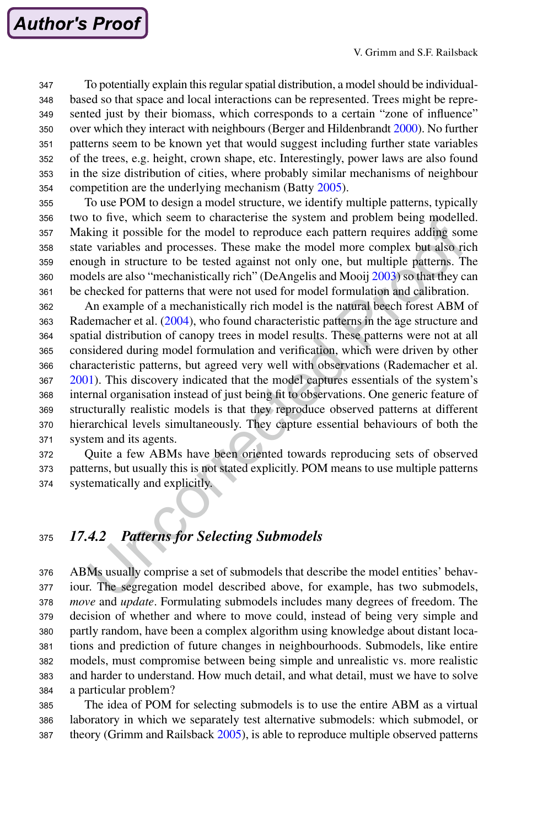To potentially explain this regular spatial distribution, a model should be individualbased so that space and local interactions can be represented. Trees might be represented just by their biomass, which corresponds to a certain "zone of influence" over which they interact with neighbours (Berger and Hildenbrandt [2000\)](#page-14-7). No further patterns seem to be known yet that would suggest including further state variables of the trees, e.g. height, crown shape, etc. Interestingly, power laws are also found in the size distribution of cities, where probably similar mechanisms of neighbour competition are the underlying mechanism (Batty [2005\)](#page-14-8). 347 348 349 350 351 352 353 354

To use POM to design a model structure, we identify multiple patterns, typically two to five, which seem to characterise the system and problem being modelled. Making it possible for the model to reproduce each pattern requires adding some state variables and processes. These make the model more complex but also rich enough in structure to be tested against not only one, but multiple patterns. The models are also "mechanistically rich" (DeAngelis and Mooij 2003) so that they can be checked for patterns that were not used for model formulation and calibration. 355 356 357 358 359 360 361

F[o](#page-14-9)r some two contracterists in expecting the system and proton the product of the system and product the system and protocol is evirally so the evirally sight possible for the model to reproduct each pattern requires addi An example of a mechanistically rich model is the natural beech forest ABM of Rademacher et al. (2004), who found characteristic patterns in the age structure and spatial distribution of canopy trees in model results. These patterns were not at all considered during model formulation and verification, which were driven by other characteristic patterns, but agreed very well with observations (Rademacher et al. [2001\)](#page-16-8). This discovery indicated that the model captures essentials of the system's internal organisation instead of just being fit to observations. One generic feature of structurally realistic models is that they reproduce observed patterns at different hierarchical levels simultaneously. They capture essential behaviours of both the system and its agents. 362 363 364 365 366 367 368 369 370 371

Quite a few ABMs have been oriented towards reproducing sets of observed patterns, but usually this is not stated explicitly. POM means to use multiple patterns systematically and explicitly. 372 373 374

#### *17.4.2 Patterns for Selecting Submodels* 375

ABMs usually comprise a set of submodels that describe the model entities' behaviour. The segregation model described above, for example, has two submodels, *move* and *update*. Formulating submodels includes many degrees of freedom. The decision of whether and where to move could, instead of being very simple and partly random, have been a complex algorithm using knowledge about distant locations and prediction of future changes in neighbourhoods. Submodels, like entire models, must compromise between being simple and unrealistic vs. more realistic and harder to understand. How much detail, and what detail, must we have to solve a particular problem? 376 377 378 379 380 381 382 383 384

The idea of POM for selecting submodels is to use the entire ABM as a virtual laboratory in which we separately test alternative submodels: which submodel, or theory (Grimm and Railsback [2005](#page-15-0)), is able to reproduce multiple observed patterns 385 386 387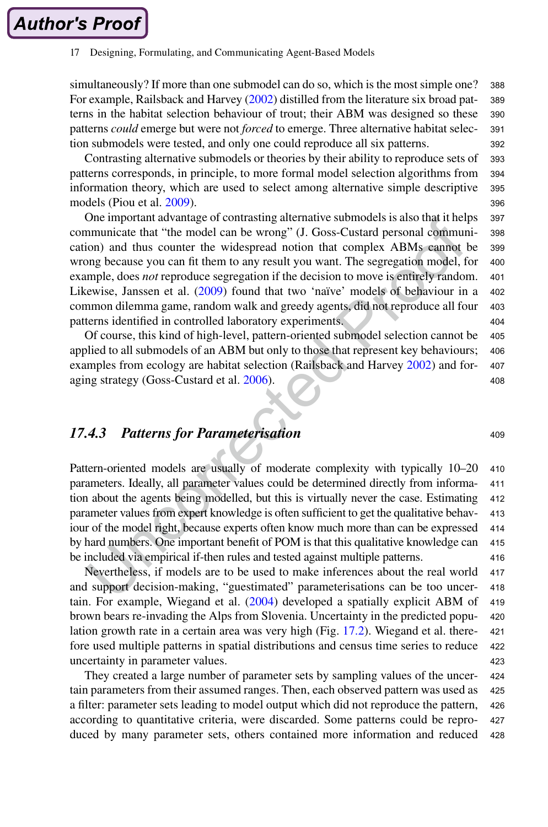- **Author's Proof** 
	- 17 Designing, Formulating, and Communicating Agent-Based Models

simultaneously? If more than one submodel can do so, which is the most simple one? For example, Railsback and Harvey [\(2002](#page-16-9)) distilled from the literature six broad patterns in the habitat selection behaviour of trout; their ABM was designed so these patterns *could* emerge but were not *forced* to emerge. Three alternative habitat selection submodels were tested, and only one could reproduce all six patterns. 388 389 390 391 392

Contrasting alternative submodels or theories by their ability to reproduce sets of patterns corresponds, in principle, to more formal model selection algorithms from information theory, which are used to select among alternative simple descriptive models (Piou et al. [2009](#page-15-18)). 393 394 395 396

The moralizary of con[t](#page-14-10)raining internal we submodes is also that their<br>umunicate that "the model can be wrong" (*I*. Goss-Custard personal communicate that "the model can be wrong" (*I*. Goss-Custard personal communical, m One important advantage of contrasting alternative submodels is also that it helps communicate that "the model can be wrong" (J. Goss-Custard personal communication) and thus counter the widespread notion that complex ABMs cannot be wrong because you can fit them to any result you want. The segregation model, for example, does *not* reproduce segregation if the decision to move is entirely random. Likewise, Janssen et al. (2009) found that two 'naïve' models of behaviour in a common dilemma game, random walk and greedy agents, did not reproduce all four patterns identified in controlled laboratory experiments. 397 398 399 400 401 402 403 404

Of course, this kind of high-level, pattern-oriented submodel selection cannot be applied to all submodels of an ABM but only to those that represent key behaviours; examples from ecology are habitat selection (Railsback and Harvey 2002) and foraging strategy (Goss-Custard et al. 2006). 405 406 407 408

### *17.4.3 Patterns for Parameterisation*

Pattern-oriented models are usually of moderate complexity with typically 10–20 parameters. Ideally, all parameter values could be determined directly from information about the agents being modelled, but this is virtually never the case. Estimating parameter values from expert knowledge is often sufficient to get the qualitative behaviour of the model right, because experts often know much more than can be expressed by hard numbers. One important benefit of POM is that this qualitative knowledge can be included via empirical if-then rules and tested against multiple patterns. 410 411 412 413 414 415 416

Nevertheless, if models are to be used to make inferences about the real world and support decision-making, "guestimated" parameterisations can be too uncertain. For example, Wiegand et al. ([2004\)](#page-16-10) developed a spatially explicit ABM of brown bears re-invading the Alps from Slovenia. Uncertainty in the predicted population growth rate in a certain area was very high (Fig. [17.2](#page-13-0)). Wiegand et al. therefore used multiple patterns in spatial distributions and census time series to reduce uncertainty in parameter values. 417 418 419 420 421 422 423

They created a large number of parameter sets by sampling values of the uncertain parameters from their assumed ranges. Then, each observed pattern was used as a filter: parameter sets leading to model output which did not reproduce the pattern, according to quantitative criteria, were discarded. Some patterns could be reproduced by many parameter sets, others contained more information and reduced 424 425 426 427 428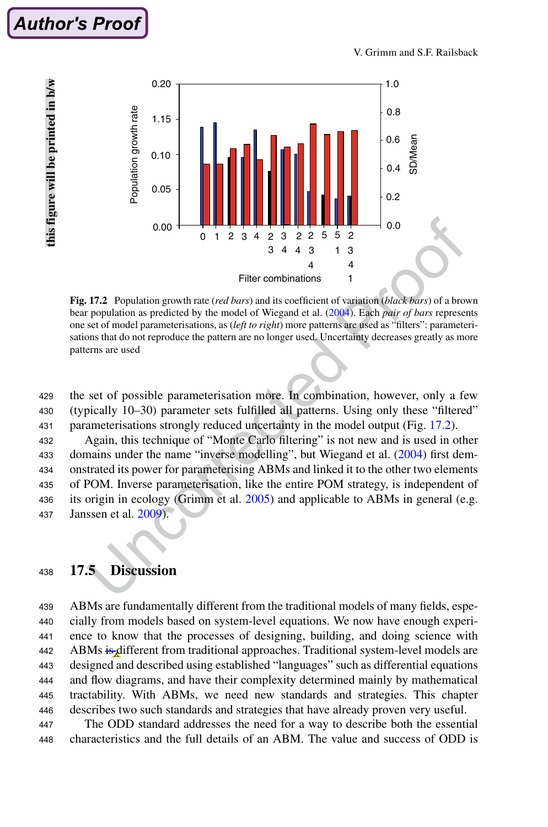<span id="page-13-0"></span>

**Fig. 17.2** Population growth rate (*red bars*) and its coefficient of variation (*black bars*) of a brown bear population as predicted by the model of Wiegand et al. (2004). Each *pair of bars* represents one set of model parameterisations, as (*left to right*) more patterns are used as "filters": parameterisations that do not reproduce the pattern are no longer used. Uncertainty decreases greatly as more patterns are used

the set of possible parameterisation more. In combination, however, only a few (typically 10–30) parameter sets fulfilled all patterns. Using only these "filtered" parameterisations strongly reduced uncertainty in the model output (Fig. 17.2). 429 430 431

0.00 <br>
0 1 2 3 4 2 3 2 2 5 5 2<br>
3 4 3 3 2<br>
Filter [c](#page-15-19)ombinations 1<br>
17.2 [P](#page-16-10)opulation growth rate (*red bors*) and its coefficient of variation (*blackbars*) of a hove<br>
17.2 Population growth rate (*red bors*) and its coeffic Again, this technique of "Monte Carlo filtering" is not new and is used in other domains under the name "inverse modelling", but Wiegand et al. (2004) first demonstrated its power for parameterising ABMs and linked it to the other two elements of POM. Inverse parameterisation, like the entire POM strategy, is independent of its origin in ecology (Grimm et al. 2005) and applicable to ABMs in general (e.g. Janssen et al. 2009). 432 433 434 435 436 437

#### **17.5 Discussion** 438

ABMs are fundamentally different from the traditional models of many fields, especially from models based on system-level equations. We now have enough experience to know that the processes of designing, building, and doing science with ABMs is different from traditional approaches. Traditional system-level models are designed and described using established "languages" such as differential equations and flow diagrams, and have their complexity determined mainly by mathematical tractability. With ABMs, we need new standards and strategies. This chapter describes two such standards and strategies that have already proven very useful. 439 440 441 442 443 444 445 446

The ODD standard addresses the need for a way to describe both the essential characteristics and the full details of an ABM. The value and success of ODD is 447 448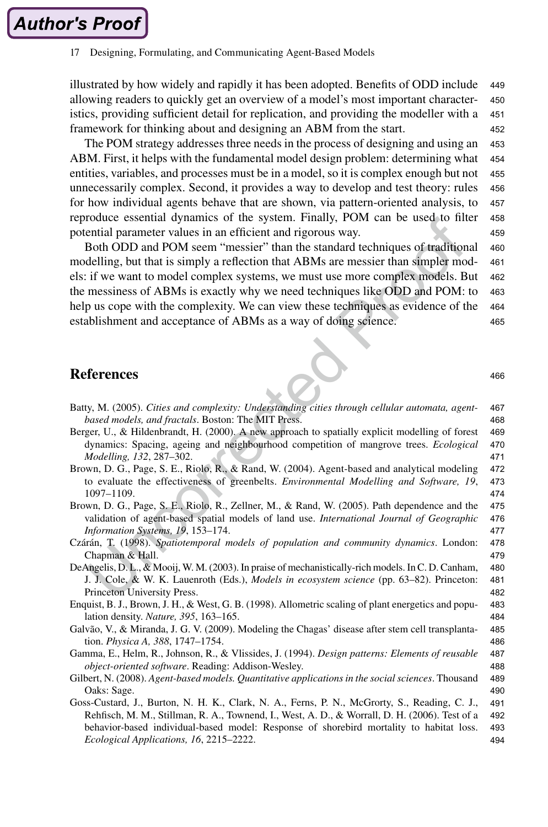- **Author's Proof** 
	- 17 Designing, Formulating, and Communicating Agent-Based Models

illustrated by how widely and rapidly it has been adopted. Benefits of ODD include allowing readers to quickly get an overview of a model's most important characteristics, providing sufficient detail for replication, and providing the modeller with a framework for thinking about and designing an ABM from the start. 449 450 451 452

The POM strategy addresses three needs in the process of designing and using an ABM. First, it helps with the fundamental model design problem: determining what entities, variables, and processes must be in a model, so it is complex enough but not unnecessarily complex. Second, it provides a way to develop and test theory: rules for how individual agents behave that are shown, via pattern-oriented analysis, to reproduce essential dynamics of the system. Finally, POM can be used to filter potential parameter values in an efficient and rigorous way. 453 454 455 456 457 458 459

466

### <span id="page-14-10"></span><span id="page-14-9"></span><span id="page-14-8"></span><span id="page-14-7"></span><span id="page-14-6"></span><span id="page-14-5"></span><span id="page-14-4"></span><span id="page-14-3"></span><span id="page-14-2"></span><span id="page-14-1"></span><span id="page-14-0"></span>**References**

| reproduce essential dynamics of the system. Finally, PONI can be used to filter                                                                                                                 | 458        |
|-------------------------------------------------------------------------------------------------------------------------------------------------------------------------------------------------|------------|
| potential parameter values in an efficient and rigorous way.                                                                                                                                    | 459        |
| Both ODD and POM seem "messier" than the standard techniques of traditional                                                                                                                     | 460        |
| modelling, but that is simply a reflection that ABMs are messier than simpler mod-                                                                                                              | 461        |
| els: if we want to model complex systems, we must use more complex models. But                                                                                                                  | 462        |
| the messiness of ABMs is exactly why we need techniques like ODD and POM: to                                                                                                                    | 463        |
|                                                                                                                                                                                                 |            |
| help us cope with the complexity. We can view these techniques as evidence of the                                                                                                               | 464        |
| establishment and acceptance of ABMs as a way of doing science.                                                                                                                                 | 465        |
|                                                                                                                                                                                                 |            |
|                                                                                                                                                                                                 |            |
|                                                                                                                                                                                                 |            |
| <b>References</b>                                                                                                                                                                               | 466        |
|                                                                                                                                                                                                 |            |
|                                                                                                                                                                                                 |            |
| Batty, M. (2005). Cities and complexity: Understanding cities through cellular automata, agent-                                                                                                 | 467        |
| based models, and fractals. Boston: The MIT Press.<br>Berger, U., & Hildenbrandt, H. (2000). A new approach to spatially explicit modelling of forest                                           | 468<br>469 |
| dynamics: Spacing, ageing and neighbourhood competition of mangrove trees. Ecological                                                                                                           | 470        |
| Modelling, 132, 287-302.                                                                                                                                                                        | 471        |
| Brown, D. G., Page, S. E., Riolo, R., & Rand, W. (2004). Agent-based and analytical modeling                                                                                                    | 472        |
| to evaluate the effectiveness of greenbelts. Environmental Modelling and Software, 19,                                                                                                          | 473        |
| 1097-1109.                                                                                                                                                                                      | 474        |
| Brown, D. G., Page, S. E., Riolo, R., Zellner, M., & Rand, W. (2005). Path dependence and the                                                                                                   | 475        |
| validation of agent-based spatial models of land use. International Journal of Geographic                                                                                                       | 476        |
| Information Systems, 19, 153-174.                                                                                                                                                               | 477        |
| Czárán, T. (1998). Spatiotemporal models of population and community dynamics. London:                                                                                                          | 478        |
| Chapman & Hall.                                                                                                                                                                                 | 479        |
| DeAngelis, D. L., & Mooij, W. M. (2003). In praise of mechanistically-rich models. In C. D. Canham,                                                                                             | 480        |
| J. J. Cole, & W. K. Lauenroth (Eds.), Models in ecosystem science (pp. 63-82). Princeton:                                                                                                       | 481        |
| Princeton University Press.                                                                                                                                                                     | 482        |
| Enquist, B. J., Brown, J. H., & West, G. B. (1998). Allometric scaling of plant energetics and popu-                                                                                            | 483        |
| lation density. Nature, 395, 163-165.                                                                                                                                                           | 484        |
| Galvão, V., & Miranda, J. G. V. (2009). Modeling the Chagas' disease after stem cell transplanta-                                                                                               | 485        |
| tion. Physica A, 388, 1747-1754.                                                                                                                                                                | 486        |
| Gamma, E., Helm, R., Johnson, R., & Vlissides, J. (1994). Design patterns: Elements of reusable                                                                                                 | 487        |
| object-oriented software. Reading: Addison-Wesley.                                                                                                                                              | 488        |
| Gilbert, N. (2008). Agent-based models. Quantitative applications in the social sciences. Thousand                                                                                              | 489        |
| Oaks: Sage.                                                                                                                                                                                     | 490        |
| Goss-Custard, J., Burton, N. H. K., Clark, N. A., Ferns, P. N., McGrorty, S., Reading, C. J.,<br>Rehfisch, M. M., Stillman, R. A., Townend, I., West, A. D., & Worrall, D. H. (2006). Test of a | 491        |
| behavior-based individual-based model: Response of shorebird mortality to habitat loss.                                                                                                         | 492<br>493 |
| Ecological Applications, 16, 2215-2222.                                                                                                                                                         | 494        |
|                                                                                                                                                                                                 |            |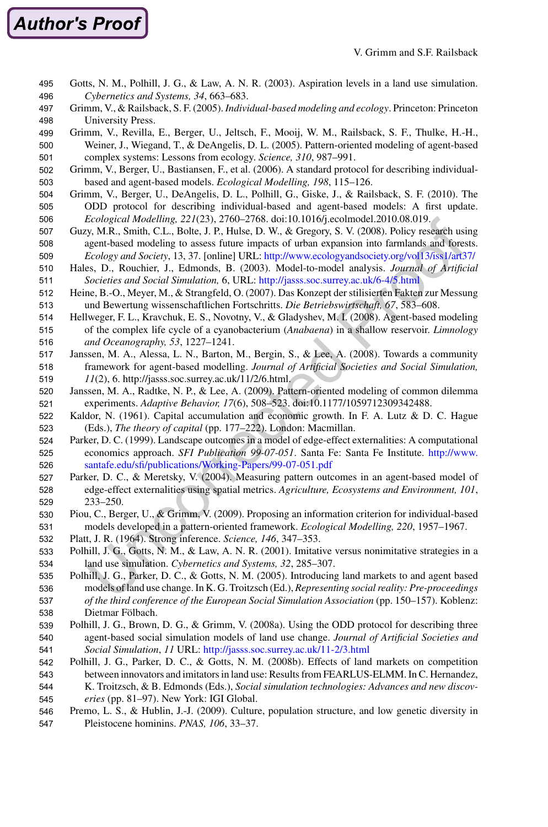- <span id="page-15-9"></span>Gotts, N. M., Polhill, J. G., & Law, A. N. R. (2003). Aspiration levels in a land use simulation. *Cybernetics and Systems, 34*, 663–683. 495 496
- <span id="page-15-0"></span>Grimm, V., & Railsback, S. F. (2005). *Individual-based modeling and ecology*. Princeton: Princeton University Press. 497 498
- <span id="page-15-20"></span>Grimm, V., Revilla, E., Berger, U., Jeltsch, F., Mooij, W. M., Railsback, S. F., Thulke, H.-H., Weiner, J., Wiegand, T., & DeAngelis, D. L. (2005). Pattern-oriented modeling of agent-based complex systems: Lessons from ecology. *Science, 310*, 987–991. 499 500 501
- <span id="page-15-2"></span>Grimm, V., Berger, U., Bastiansen, F., et al. (2006). A standard protocol for describing individualbased and agent-based models. *Ecological Modelling, 198*, 115–126. 502 503
- <span id="page-15-3"></span>Grimm, V., Berger, U., DeAngelis, D. L., Polhill, G., Giske, J., & Railsback, S. F. (2010). The ODD protocol for describing individual-based and agent-based models: A first update. *Ecological Modelling, 221*(23), 2760–2768. doi:10.1016/j.ecolmodel.2010.08.019. 504 505 506
- <span id="page-15-13"></span>Guzy, M.R., Smith, C.L., Bolte, J. P., Hulse, D. W., & Gregory, S. V. (2008). Policy research using agent-based modeling to assess future impacts of urban expansion into farmlands and forests. *Ecology and Society*, 13, 37. [online] URL: http://www.ecologyandsociety.org/vol13/iss1/art37/ 507 508 509
- <span id="page-15-1"></span>Hales, D., Rouchier, J., Edmonds, B. (2003). Model-to-model analysis. *Journal of Artificial Societies and Social Simulation,* 6, URL: http://jasss.soc.surrey.ac.uk/6-4/5.html 510 511
- <span id="page-15-15"></span>Heine, B.-O., Meyer, M., & Strangfeld, O. (2007). Das Konzept der stilisierten Fakten zur Messung und Bewertung wissenschaftlichen Fortschritts. *Die Betriebswirtschaft, 67*, 583–608. 512 513
- <span id="page-15-12"></span><span id="page-15-4"></span>Hellweger, F. L., Kravchuk, E. S., Novotny, V., & Gladyshev, M. I. (2008). Agent-based modeling of the complex life cycle of a cyanobacterium (*Anabaena*) in a shallow reservoir. *Limnology and Oceanography, 53*, 1227–1241. 514 515 516
- Ecological Modelling, 22(125), 2760-2768. doi:10.1016/j.ccoimode:120100.8.019,<br>considerated product and the system in the system of the system busines. N. R. S. C. (2008). Policy research using the hassed modelling to ass Janssen, M. A., Alessa, L. N., Barton, M., Bergin, S., & Lee, A. (2008). Towards a community framework for agent-based modelling. *Journal of Artificial Societies and Social Simulation, 11*(2), 6. http://jasss.soc.surrey.ac.uk/11/2/6.html. 517 518 519
- <span id="page-15-19"></span>Janssen, M. A., Radtke, N. P., & Lee, A. (2009). Pattern-oriented modeling of common dilemma experiments. *Adaptive Behavior, 17*(6), 508–523. doi:10.1177/1059712309342488. 520 521
- <span id="page-15-17"></span>Kaldor, N. (1961). Capital accumulation and economic growth. In F. A. Lutz & D. C. Hague (Eds.), *The theory of capital* (pp. 177–222). London: Macmillan. 522 523
- <span id="page-15-6"></span>Parker, D. C. (1999). Landscape outcomes in a model of edge-effect externalities: A computational economics approach. *SFI Publication 99-07-051*. Santa Fe: Santa Fe Institute. http://www. santafe.edu/sfi/publications/Working-Papers/99-07-051.pdf 524 525 526
- <span id="page-15-7"></span>Parker, D. C., & Meretsky, V. (2004). Measuring pattern outcomes in an agent-based model of edge-effect externalities using spatial metrics. *Agriculture, Ecosystems and Environment, 101*, 233–250. 527 528 529
- <span id="page-15-18"></span>Piou, C., Berger, U., & Grimm, V. (2009). Proposing an information criterion for individual-based models developed in a pattern-oriented framework. *Ecological Modelling, 220*, 1957–1967. 530 531
- <span id="page-15-16"></span>Platt, J. R. (1964). Strong inference. *Science, 146*, 347–353. 532
- <span id="page-15-8"></span>Polhill, J. G., Gotts, N. M., & Law, A. N. R. (2001). Imitative versus nonimitative strategies in a land use simulation. *Cybernetics and Systems, 32*, 285–307. 533 534
- <span id="page-15-10"></span>Polhill, J. G., Parker, D. C., & Gotts, N. M. (2005). Introducing land markets to and agent based models of land use change. In K. G. Troitzsch (Ed.), *Representing social reality: Pre-proceedings of the third conference of the European Social Simulation Association* (pp. 150–157). Koblenz: Dietmar Fölbach. 535 536 537 538
- <span id="page-15-5"></span>Polhill, J. G., Brown, D. G., & Grimm, V. (2008a). Using the ODD protocol for describing three agent-based social simulation models of land use change. *Journal of Artificial Societies and Social Simulation*, *11* URL: http://jasss.soc.surrey.ac.uk/11-2/3.html 539 540 541
- <span id="page-15-11"></span>Polhill, J. G., Parker, D. C., & Gotts, N. M. (2008b). Effects of land markets on competition between innovators and imitators in land use: Results from FEARLUS-ELMM. In C. Hernandez, K. Troitzsch, & B. Edmonds (Eds.), *Social simulation technologies: Advances and new discoveries* (pp. 81–97). New York: IGI Global. 542 543 544 545
- <span id="page-15-14"></span>Premo, L. S., & Hublin, J.-J. (2009). Culture, population structure, and low genetic diversity in Pleistocene hominins. *PNAS, 106*, 33–37. 546 547